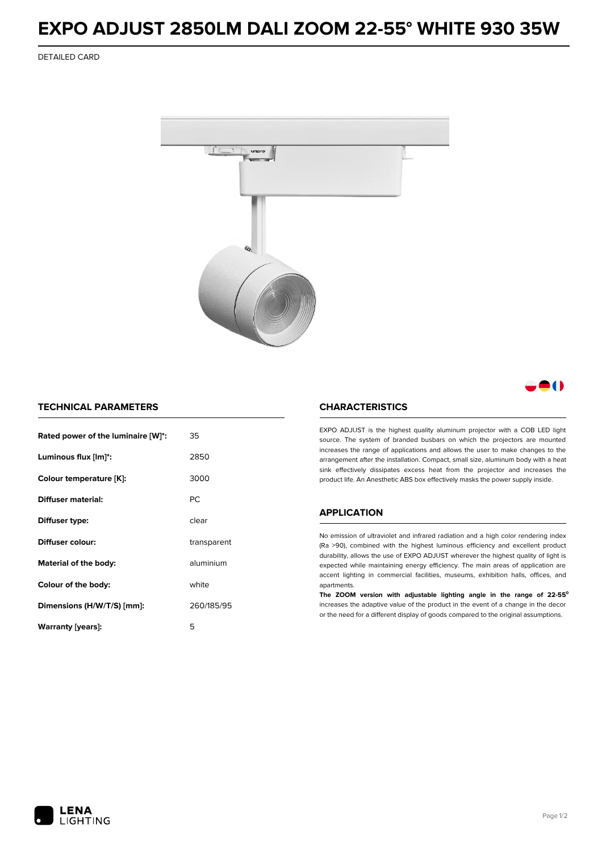## **EXPO ADJUST 2850LM DALI ZOOM 22-55° WHITE 930 35W**

DETAILED CARD



A ( )

## **TECHNICAL PARAMETERS**

| Rated power of the luminaire [W]*: | 35          |  |
|------------------------------------|-------------|--|
| Luminous flux [lm]*:               | 2850        |  |
| Colour temperature [K]:            | 3000        |  |
| <b>Diffuser material:</b>          | PC.         |  |
| Diffuser type:                     | clear       |  |
| Diffuser colour:                   | transparent |  |
| aluminium<br>Material of the body: |             |  |
| Colour of the body:                | white       |  |
| Dimensions (H/W/T/S) [mm]:         | 260/185/95  |  |
| Warranty (years):                  | 5           |  |

## **CHARACTERISTICS**

EXPO ADJUST is the highest quality aluminum projector with a COB LED light source. The system of branded busbars on which the projectors are mounted increases the range of applications and allows the user to make changes to the arrangement after the installation. Compact, small size, aluminum body with a heat sink effectively dissipates excess heat from the projector and increases the product life. An Anesthetic ABS box effectively masks the power supply inside.

#### **APPLICATION**

No emission of ultraviolet and infrared radiation and a high color rendering index (Ra >90), combined with the highest luminous efficiency and excellent product durability, allows the use of EXPO ADJUST wherever the highest quality of light is expected while maintaining energy efficiency. The main areas of application are accent lighting in commercial facilities, museums, exhibition halls, offices, and apartments.

**The ZOOM version with adjustable lighting angle in the range of 22-55⁰** increases the adaptive value of the product in the event of a change in the decor or the need for a different display of goods compared to the original assumptions.